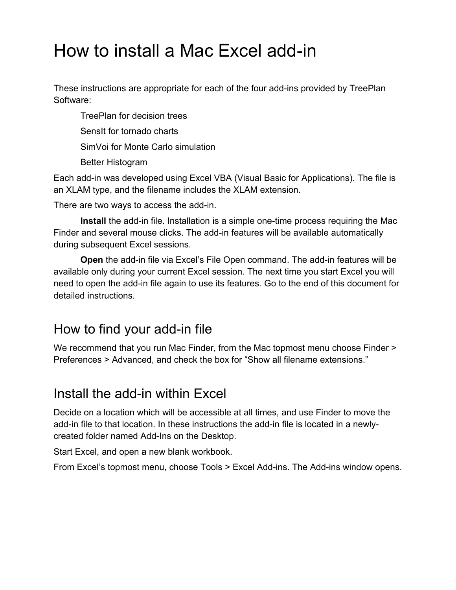# How to install a Mac Excel add-in

These instructions are appropriate for each of the four add-ins provided by TreePlan Software:

 TreePlan for decision trees SensIt for tornado charts SimVoi for Monte Carlo simulation Better Histogram

Each add-in was developed using Excel VBA (Visual Basic for Applications). The file is an XLAM type, and the filename includes the XLAM extension.

There are two ways to access the add-in.

**Install** the add-in file. Installation is a simple one-time process requiring the Mac Finder and several mouse clicks. The add-in features will be available automatically during subsequent Excel sessions.

**Open** the add-in file via Excel's File Open command. The add-in features will be available only during your current Excel session. The next time you start Excel you will need to open the add-in file again to use its features. Go to the end of this document for detailed instructions.

# How to find your add-in file

We recommend that you run Mac Finder, from the Mac topmost menu choose Finder > Preferences > Advanced, and check the box for "Show all filename extensions."

### Install the add-in within Excel

Decide on a location which will be accessible at all times, and use Finder to move the add-in file to that location. In these instructions the add-in file is located in a newlycreated folder named Add-Ins on the Desktop.

Start Excel, and open a new blank workbook.

From Excel's topmost menu, choose Tools > Excel Add-ins. The Add-ins window opens.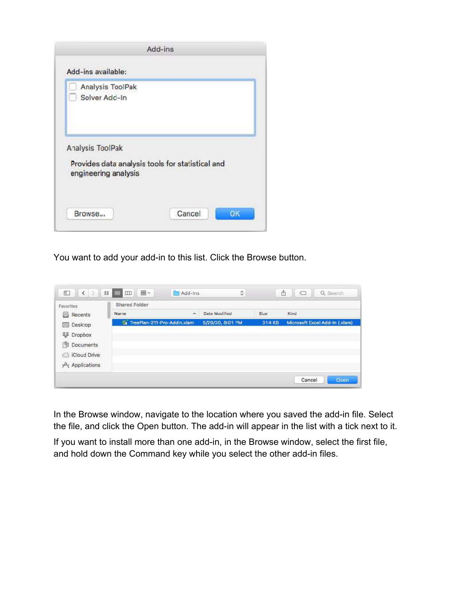

You want to add your add-in to this list. Click the Browse button.

| Favorites         | <b>Shared Folder</b>                   |          |                  |        |                               |
|-------------------|----------------------------------------|----------|------------------|--------|-------------------------------|
| B<br>Recents      | Name                                   | $\hat{}$ | Date Mudified    | Size   | Kind                          |
| Desktop<br>$\sim$ | <b>Els</b> TreePlan-211-Pro-Addin.xlam |          | 5/29/20, 8:01 PM | 314 KB | Microsoft Excel Add-In (xlam) |
| 琴 Dropbox         |                                        |          |                  |        |                               |
| Documents<br>阄    |                                        |          |                  |        |                               |
| S iCloud Drive    |                                        |          |                  |        |                               |
| A Applications    |                                        |          |                  |        |                               |

In the Browse window, navigate to the location where you saved the add-in file. Select the file, and click the Open button. The add-in will appear in the list with a tick next to it.

If you want to install more than one add-in, in the Browse window, select the first file, and hold down the Command key while you select the other add-in files.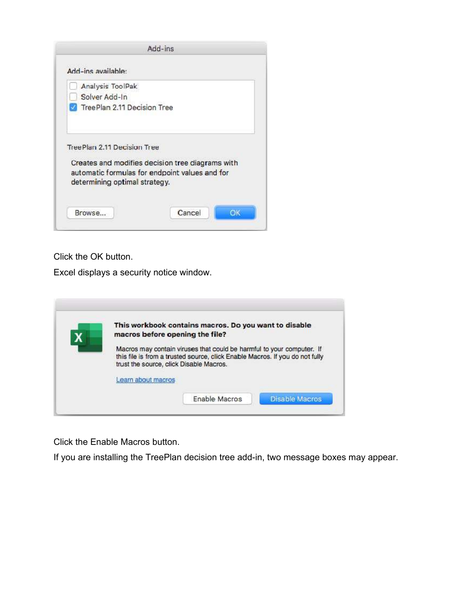

Click the OK button.

Excel displays a security notice window.

| This workbook contains macros. Do you want to disable                                                                   |
|-------------------------------------------------------------------------------------------------------------------------|
| macros before opening the file?                                                                                         |
| Macros may contain viruses that could be harmful to your computer. If                                                   |
| this file is from a trusted source, click Enable Macros. If you do not fully<br>trust the source, click Disable Macros. |
| Learn about macros                                                                                                      |

Click the Enable Macros button.

If you are installing the TreePlan decision tree add-in, two message boxes may appear.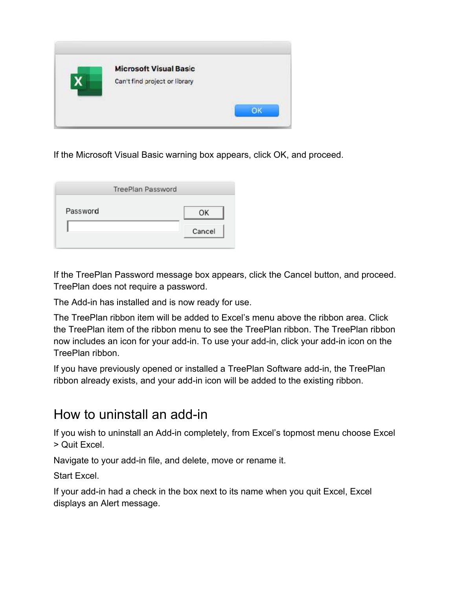

If the Microsoft Visual Basic warning box appears, click OK, and proceed.

| TreePlan Password |        |
|-------------------|--------|
| Password          | OΚ     |
|                   | Cancel |

If the TreePlan Password message box appears, click the Cancel button, and proceed. TreePlan does not require a password.

The Add-in has installed and is now ready for use.

The TreePlan ribbon item will be added to Excel's menu above the ribbon area. Click the TreePlan item of the ribbon menu to see the TreePlan ribbon. The TreePlan ribbon now includes an icon for your add-in. To use your add-in, click your add-in icon on the TreePlan ribbon.

If you have previously opened or installed a TreePlan Software add-in, the TreePlan ribbon already exists, and your add-in icon will be added to the existing ribbon.

### How to uninstall an add-in

If you wish to uninstall an Add-in completely, from Excel's topmost menu choose Excel > Quit Excel.

Navigate to your add-in file, and delete, move or rename it.

Start Excel.

If your add-in had a check in the box next to its name when you quit Excel, Excel displays an Alert message.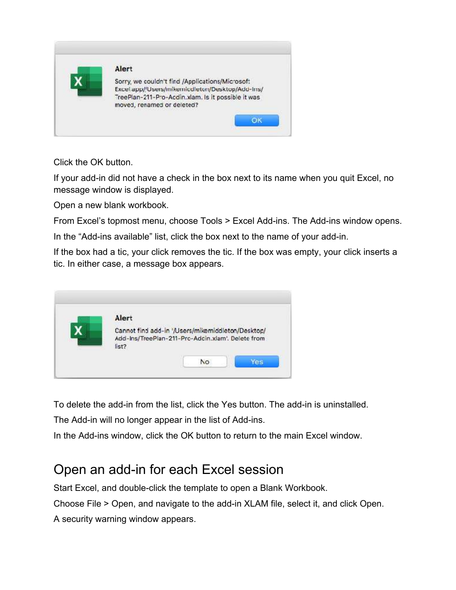

Click the OK button.

If your add-in did not have a check in the box next to its name when you quit Excel, no message window is displayed.

Open a new blank workbook.

From Excel's topmost menu, choose Tools > Excel Add-ins. The Add-ins window opens.

In the "Add-ins available" list, click the box next to the name of your add-in.

If the box had a tic, your click removes the tic. If the box was empty, your click inserts a tic. In either case, a message box appears.

| Alert |                                                                                                        |  |
|-------|--------------------------------------------------------------------------------------------------------|--|
| list? | Cannot find add-in '/Users/mikemiddleton/Desktop/<br>Add-Ins/TreePlan-211-Pro-Adcin.xlam'. Delete from |  |

To delete the add-in from the list, click the Yes button. The add-in is uninstalled.

The Add-in will no longer appear in the list of Add-ins.

In the Add-ins window, click the OK button to return to the main Excel window.

# Open an add-in for each Excel session

Start Excel, and double-click the template to open a Blank Workbook.

Choose File > Open, and navigate to the add-in XLAM file, select it, and click Open.

A security warning window appears.